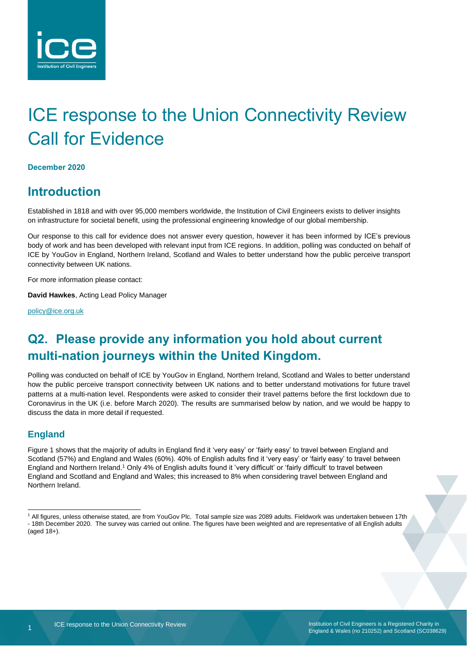

# ICE response to the Union Connectivity Review Call for Evidence

#### **December 2020**

### **Introduction**

Established in 1818 and with over 95,000 members worldwide, the Institution of Civil Engineers exists to deliver insights on infrastructure for societal benefit, using the professional engineering knowledge of our global membership.

Our response to this call for evidence does not answer every question, however it has been informed by ICE's previous body of work and has been developed with relevant input from ICE regions. In addition, polling was conducted on behalf of ICE by YouGov in England, Northern Ireland, Scotland and Wales to better understand how the public perceive transport connectivity between UK nations.

For more information please contact:

**David Hawkes**, Acting Lead Policy Manager

[policy@ice.org.uk](mailto:policy@ice.org.uk)

# **Q2. Please provide any information you hold about current multi-nation journeys within the United Kingdom.**

Polling was conducted on behalf of ICE by YouGov in England, Northern Ireland, Scotland and Wales to better understand how the public perceive transport connectivity between UK nations and to better understand motivations for future travel patterns at a multi-nation level. Respondents were asked to consider their travel patterns before the first lockdown due to Coronavirus in the UK (i.e. before March 2020). The results are summarised below by nation, and we would be happy to discuss the data in more detail if requested.

### **England**

Figure 1 shows that the majority of adults in England find it 'very easy' or 'fairly easy' to travel between England and Scotland (57%) and England and Wales (60%). 40% of English adults find it 'very easy' or 'fairly easy' to travel between England and Northern Ireland.<sup>1</sup> Only 4% of English adults found it 'very difficult' or 'fairly difficult' to travel between England and Scotland and England and Wales; this increased to 8% when considering travel between England and Northern Ireland.

<sup>1</sup> All figures, unless otherwise stated, are from YouGov Plc. Total sample size was 2089 adults. Fieldwork was undertaken between 17th - 18th December 2020. The survey was carried out online. The figures have been weighted and are representative of all English adults  $(aqed 18+)$ .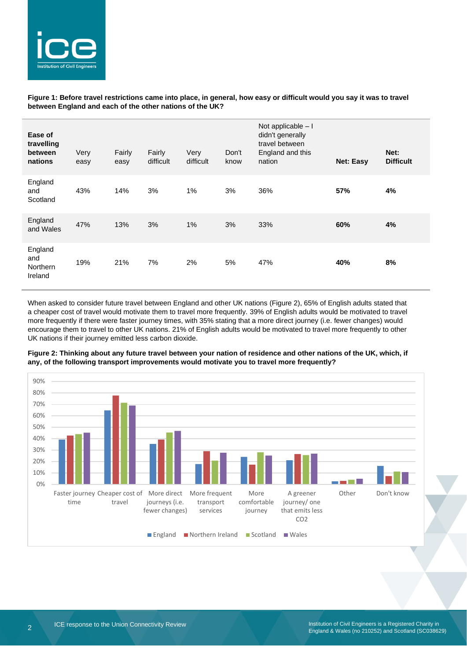

#### **Figure 1: Before travel restrictions came into place, in general, how easy or difficult would you say it was to travel between England and each of the other nations of the UK?**

| Ease of<br>travelling<br>between<br>nations  | Very<br>easy | Fairly<br>easy | Fairly<br>difficult | Very<br>difficult | Don't<br>know | Not applicable - I<br>didn't generally<br>travel between<br>England and this<br>nation | <b>Net: Easy</b> | Net:<br><b>Difficult</b> |
|----------------------------------------------|--------------|----------------|---------------------|-------------------|---------------|----------------------------------------------------------------------------------------|------------------|--------------------------|
| England<br>and<br>Scotland                   | 43%          | 14%            | 3%                  | 1%                | 3%            | 36%                                                                                    | 57%              | 4%                       |
| England<br>and Wales                         | 47%          | 13%            | 3%                  | 1%                | 3%            | 33%                                                                                    | 60%              | 4%                       |
| England<br>and<br><b>Northern</b><br>Ireland | 19%          | 21%            | 7%                  | 2%                | 5%            | 47%                                                                                    | 40%              | 8%                       |

When asked to consider future travel between England and other UK nations (Figure 2), 65% of English adults stated that a cheaper cost of travel would motivate them to travel more frequently. 39% of English adults would be motivated to travel more frequently if there were faster journey times, with 35% stating that a more direct journey (i.e. fewer changes) would encourage them to travel to other UK nations. 21% of English adults would be motivated to travel more frequently to other UK nations if their journey emitted less carbon dioxide.



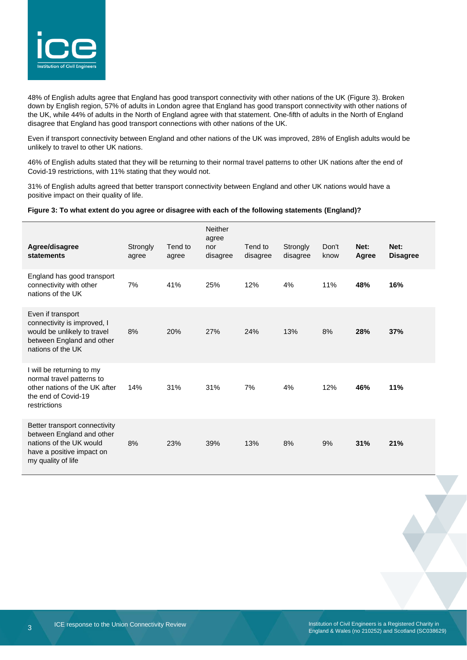

48% of English adults agree that England has good transport connectivity with other nations of the UK (Figure 3). Broken down by English region, 57% of adults in London agree that England has good transport connectivity with other nations of the UK, while 44% of adults in the North of England agree with that statement. One-fifth of adults in the North of England disagree that England has good transport connections with other nations of the UK.

Even if transport connectivity between England and other nations of the UK was improved, 28% of English adults would be unlikely to travel to other UK nations.

46% of English adults stated that they will be returning to their normal travel patterns to other UK nations after the end of Covid-19 restrictions, with 11% stating that they would not.

31% of English adults agreed that better transport connectivity between England and other UK nations would have a positive impact on their quality of life.

#### **Figure 3: To what extent do you agree or disagree with each of the following statements (England)?**

| Agree/disagree<br>statements                                                                                                             | Strongly<br>agree | Tend to<br>agree | <b>Neither</b><br>agree<br>nor<br>disagree | Tend to<br>disagree | Strongly<br>disagree | Don't<br>know | Net:<br>Agree | Net:<br><b>Disagree</b> |
|------------------------------------------------------------------------------------------------------------------------------------------|-------------------|------------------|--------------------------------------------|---------------------|----------------------|---------------|---------------|-------------------------|
| England has good transport<br>connectivity with other<br>nations of the UK                                                               | 7%                | 41%              | 25%                                        | 12%                 | 4%                   | 11%           | 48%           | 16%                     |
| Even if transport<br>connectivity is improved, I<br>would be unlikely to travel<br>between England and other<br>nations of the UK        | 8%                | 20%              | 27%                                        | 24%                 | 13%                  | 8%            | 28%           | 37%                     |
| I will be returning to my<br>normal travel patterns to<br>other nations of the UK after<br>the end of Covid-19<br>restrictions           | 14%               | 31%              | 31%                                        | 7%                  | 4%                   | 12%           | 46%           | 11%                     |
| Better transport connectivity<br>between England and other<br>nations of the UK would<br>have a positive impact on<br>my quality of life | 8%                | 23%              | 39%                                        | 13%                 | 8%                   | 9%            | 31%           | 21%                     |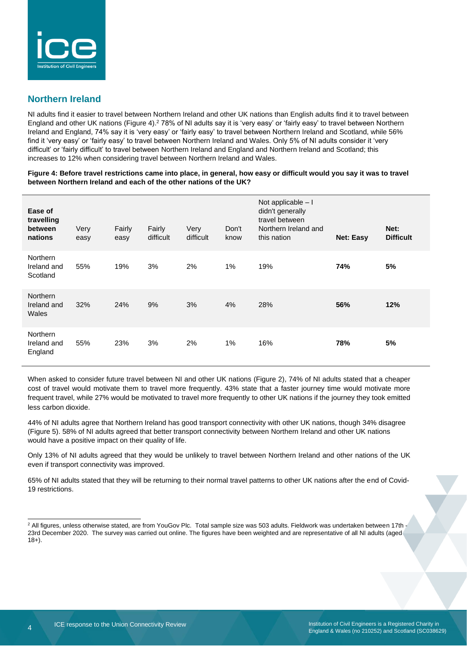

### **Northern Ireland**

NI adults find it easier to travel between Northern Ireland and other UK nations than English adults find it to travel between England and other UK nations (Figure 4). <sup>2</sup> 78% of NI adults say it is 'very easy' or 'fairly easy' to travel between Northern Ireland and England, 74% say it is 'very easy' or 'fairly easy' to travel between Northern Ireland and Scotland, while 56% find it 'very easy' or 'fairly easy' to travel between Northern Ireland and Wales. Only 5% of NI adults consider it 'very difficult' or 'fairly difficult' to travel between Northern Ireland and England and Northern Ireland and Scotland; this increases to 12% when considering travel between Northern Ireland and Wales.

#### **Figure 4: Before travel restrictions came into place, in general, how easy or difficult would you say it was to travel between Northern Ireland and each of the other nations of the UK?**

| Ease of<br>travelling<br>between<br>nations | Very<br>easy | Fairly<br>easy | Fairly<br>difficult | Very<br>difficult | Don't<br>know | Not applicable $-1$<br>didn't generally<br>travel between<br>Northern Ireland and<br>this nation | <b>Net: Easy</b> | Net:<br><b>Difficult</b> |
|---------------------------------------------|--------------|----------------|---------------------|-------------------|---------------|--------------------------------------------------------------------------------------------------|------------------|--------------------------|
| <b>Northern</b><br>Ireland and<br>Scotland  | 55%          | 19%            | 3%                  | 2%                | $1\%$         | 19%                                                                                              | 74%              | 5%                       |
| <b>Northern</b><br>Ireland and<br>Wales     | 32%          | 24%            | 9%                  | 3%                | 4%            | 28%                                                                                              | 56%              | 12%                      |
| <b>Northern</b><br>Ireland and<br>England   | 55%          | 23%            | 3%                  | 2%                | 1%            | 16%                                                                                              | 78%              | 5%                       |

When asked to consider future travel between NI and other UK nations (Figure 2), 74% of NI adults stated that a cheaper cost of travel would motivate them to travel more frequently. 43% state that a faster journey time would motivate more frequent travel, while 27% would be motivated to travel more frequently to other UK nations if the journey they took emitted less carbon dioxide.

44% of NI adults agree that Northern Ireland has good transport connectivity with other UK nations, though 34% disagree (Figure 5). 58% of NI adults agreed that better transport connectivity between Northern Ireland and other UK nations would have a positive impact on their quality of life.

Only 13% of NI adults agreed that they would be unlikely to travel between Northern Ireland and other nations of the UK even if transport connectivity was improved.

65% of NI adults stated that they will be returning to their normal travel patterns to other UK nations after the end of Covid-19 restrictions.

<sup>&</sup>lt;sup>2</sup> All figures, unless otherwise stated, are from YouGov Plc. Total sample size was 503 adults. Fieldwork was undertaken between 17th -23rd December 2020. The survey was carried out online. The figures have been weighted and are representative of all NI adults (aged  $18+$ ).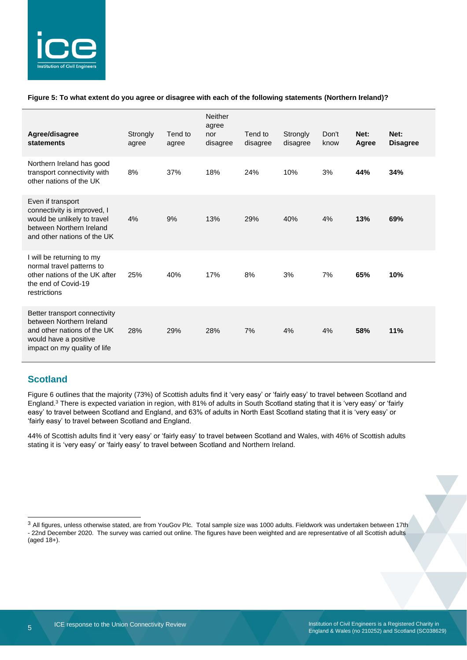

#### **Figure 5: To what extent do you agree or disagree with each of the following statements (Northern Ireland)?**

| Agree/disagree<br>statements                                                                                                                      | Strongly<br>agree | Tend to<br>agree | <b>Neither</b><br>agree<br>nor<br>disagree | Tend to<br>disagree | Strongly<br>disagree | Don't<br>know | Net:<br>Agree | Net:<br><b>Disagree</b> |
|---------------------------------------------------------------------------------------------------------------------------------------------------|-------------------|------------------|--------------------------------------------|---------------------|----------------------|---------------|---------------|-------------------------|
| Northern Ireland has good<br>transport connectivity with<br>other nations of the UK                                                               | 8%                | 37%              | 18%                                        | 24%                 | 10%                  | 3%            | 44%           | 34%                     |
| Even if transport<br>connectivity is improved, I<br>would be unlikely to travel<br>between Northern Ireland<br>and other nations of the UK        | 4%                | 9%               | 13%                                        | 29%                 | 40%                  | 4%            | 13%           | 69%                     |
| I will be returning to my<br>normal travel patterns to<br>other nations of the UK after<br>the end of Covid-19<br>restrictions                    | 25%               | 40%              | 17%                                        | 8%                  | 3%                   | 7%            | 65%           | 10%                     |
| Better transport connectivity<br>between Northern Ireland<br>and other nations of the UK<br>would have a positive<br>impact on my quality of life | 28%               | 29%              | 28%                                        | 7%                  | 4%                   | 4%            | 58%           | 11%                     |

### **Scotland**

Figure 6 outlines that the majority (73%) of Scottish adults find it 'very easy' or 'fairly easy' to travel between Scotland and England.<sup>3</sup> There is expected variation in region, with 81% of adults in South Scotland stating that it is 'very easy' or 'fairly easy' to travel between Scotland and England, and 63% of adults in North East Scotland stating that it is 'very easy' or 'fairly easy' to travel between Scotland and England.

44% of Scottish adults find it 'very easy' or 'fairly easy' to travel between Scotland and Wales, with 46% of Scottish adults stating it is 'very easy' or 'fairly easy' to travel between Scotland and Northern Ireland.

<sup>&</sup>lt;sup>3</sup> All figures, unless otherwise stated, are from YouGov Plc. Total sample size was 1000 adults. Fieldwork was undertaken between 17th - 22nd December 2020. The survey was carried out online. The figures have been weighted and are representative of all Scottish adults (aged 18+).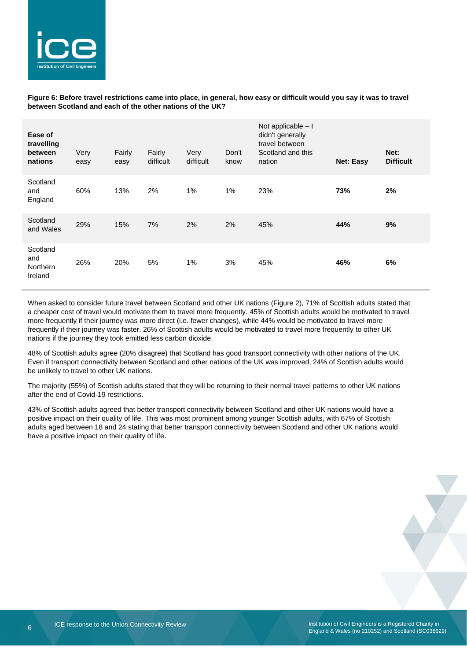

#### **Figure 6: Before travel restrictions came into place, in general, how easy or difficult would you say it was to travel between Scotland and each of the other nations of the UK?**

| Ease of<br>travelling<br>between<br>nations | Very<br>easy | Fairly<br>easy | Fairly<br>difficult | Very<br>difficult | Don't<br>know | Not applicable - I<br>didn't generally<br>travel between<br>Scotland and this<br>nation | <b>Net: Easy</b> | Net:<br><b>Difficult</b> |
|---------------------------------------------|--------------|----------------|---------------------|-------------------|---------------|-----------------------------------------------------------------------------------------|------------------|--------------------------|
| Scotland<br>and<br>England                  | 60%          | 13%            | 2%                  | 1%                | 1%            | 23%                                                                                     | 73%              | 2%                       |
| Scotland<br>and Wales                       | 29%          | 15%            | 7%                  | 2%                | 2%            | 45%                                                                                     | 44%              | 9%                       |
| Scotland<br>and<br>Northern<br>Ireland      | 26%          | 20%            | 5%                  | $1\%$             | 3%            | 45%                                                                                     | 46%              | 6%                       |

When asked to consider future travel between Scotland and other UK nations (Figure 2), 71% of Scottish adults stated that a cheaper cost of travel would motivate them to travel more frequently. 45% of Scottish adults would be motivated to travel more frequently if their journey was more direct (i.e. fewer changes), while 44% would be motivated to travel more frequently if their journey was faster. 26% of Scottish adults would be motivated to travel more frequently to other UK nations if the journey they took emitted less carbon dioxide.

48% of Scottish adults agree (20% disagree) that Scotland has good transport connectivity with other nations of the UK. Even if transport connectivity between Scotland and other nations of the UK was improved, 24% of Scottish adults would be unlikely to travel to other UK nations.

The majority (55%) of Scottish adults stated that they will be returning to their normal travel patterns to other UK nations after the end of Covid-19 restrictions.

43% of Scottish adults agreed that better transport connectivity between Scotland and other UK nations would have a positive impact on their quality of life. This was most prominent among younger Scottish adults, with 67% of Scottish adults aged between 18 and 24 stating that better transport connectivity between Scotland and other UK nations would have a positive impact on their quality of life.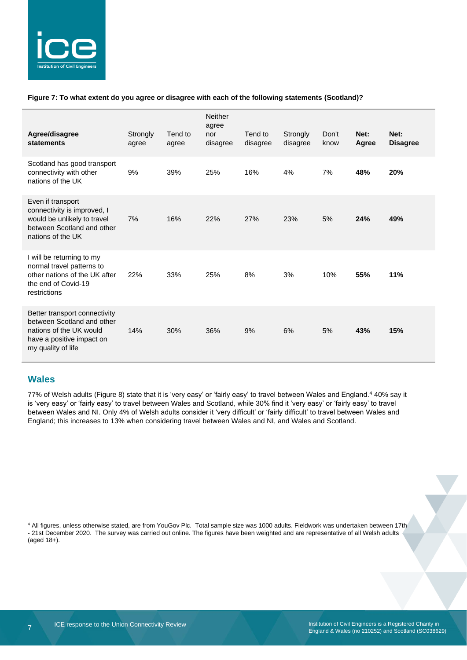

#### **Figure 7: To what extent do you agree or disagree with each of the following statements (Scotland)?**

| Agree/disagree<br>statements                                                                                                              | Strongly<br>agree | Tend to<br>agree | <b>Neither</b><br>agree<br>nor<br>disagree | Tend to<br>disagree | Strongly<br>disagree | Don't<br>know | Net:<br>Agree | Net:<br><b>Disagree</b> |
|-------------------------------------------------------------------------------------------------------------------------------------------|-------------------|------------------|--------------------------------------------|---------------------|----------------------|---------------|---------------|-------------------------|
| Scotland has good transport<br>connectivity with other<br>nations of the UK                                                               | 9%                | 39%              | 25%                                        | 16%                 | 4%                   | 7%            | 48%           | 20%                     |
| Even if transport<br>connectivity is improved, I<br>would be unlikely to travel<br>between Scotland and other<br>nations of the UK        | 7%                | 16%              | 22%                                        | 27%                 | 23%                  | 5%            | 24%           | 49%                     |
| I will be returning to my<br>normal travel patterns to<br>other nations of the UK after<br>the end of Covid-19<br>restrictions            | 22%               | 33%              | 25%                                        | 8%                  | 3%                   | 10%           | 55%           | 11%                     |
| Better transport connectivity<br>between Scotland and other<br>nations of the UK would<br>have a positive impact on<br>my quality of life | 14%               | 30%              | 36%                                        | 9%                  | 6%                   | 5%            | 43%           | 15%                     |

#### **Wales**

77% of Welsh adults (Figure 8) state that it is 'very easy' or 'fairly easy' to travel between Wales and England.<sup>4</sup> 40% say it is 'very easy' or 'fairly easy' to travel between Wales and Scotland, while 30% find it 'very easy' or 'fairly easy' to travel between Wales and NI. Only 4% of Welsh adults consider it 'very difficult' or 'fairly difficult' to travel between Wales and England; this increases to 13% when considering travel between Wales and NI, and Wales and Scotland.

<sup>4</sup> All figures, unless otherwise stated, are from YouGov Plc. Total sample size was 1000 adults. Fieldwork was undertaken between 17th - 21st December 2020. The survey was carried out online. The figures have been weighted and are representative of all Welsh adults (aged 18+).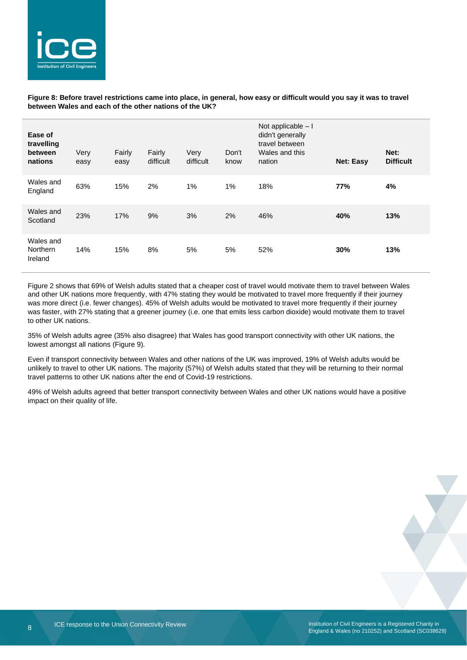

**Figure 8: Before travel restrictions came into place, in general, how easy or difficult would you say it was to travel between Wales and each of the other nations of the UK?**

| Ease of<br>travelling<br>between<br>nations | Very<br>easy | Fairly<br>easy | Fairly<br>difficult | Very<br>difficult | Don't<br>know | Not applicable - I<br>didn't generally<br>travel between<br>Wales and this<br>nation | <b>Net: Easy</b> | Net:<br><b>Difficult</b> |
|---------------------------------------------|--------------|----------------|---------------------|-------------------|---------------|--------------------------------------------------------------------------------------|------------------|--------------------------|
| Wales and<br>England                        | 63%          | 15%            | 2%                  | 1%                | 1%            | 18%                                                                                  | 77%              | 4%                       |
| Wales and<br>Scotland                       | 23%          | 17%            | 9%                  | 3%                | 2%            | 46%                                                                                  | 40%              | 13%                      |
| Wales and<br><b>Northern</b><br>Ireland     | 14%          | 15%            | 8%                  | 5%                | 5%            | 52%                                                                                  | 30%              | 13%                      |

Figure 2 shows that 69% of Welsh adults stated that a cheaper cost of travel would motivate them to travel between Wales and other UK nations more frequently, with 47% stating they would be motivated to travel more frequently if their journey was more direct (i.e. fewer changes). 45% of Welsh adults would be motivated to travel more frequently if their journey was faster, with 27% stating that a greener journey (i.e. one that emits less carbon dioxide) would motivate them to travel to other UK nations.

35% of Welsh adults agree (35% also disagree) that Wales has good transport connectivity with other UK nations, the lowest amongst all nations (Figure 9).

Even if transport connectivity between Wales and other nations of the UK was improved, 19% of Welsh adults would be unlikely to travel to other UK nations. The majority (57%) of Welsh adults stated that they will be returning to their normal travel patterns to other UK nations after the end of Covid-19 restrictions.

49% of Welsh adults agreed that better transport connectivity between Wales and other UK nations would have a positive impact on their quality of life.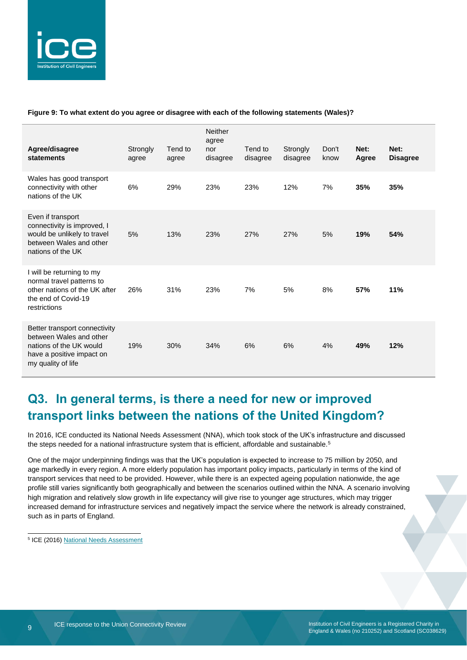

#### **Figure 9: To what extent do you agree or disagree with each of the following statements (Wales)?**

| Agree/disagree<br>statements                                                                                                           | Strongly<br>agree | Tend to<br>agree | <b>Neither</b><br>agree<br>nor<br>disagree | Tend to<br>disagree | Strongly<br>disagree | Don't<br>know | Net:<br>Agree | Net:<br><b>Disagree</b> |
|----------------------------------------------------------------------------------------------------------------------------------------|-------------------|------------------|--------------------------------------------|---------------------|----------------------|---------------|---------------|-------------------------|
| Wales has good transport<br>connectivity with other<br>nations of the UK                                                               | 6%                | 29%              | 23%                                        | 23%                 | 12%                  | 7%            | 35%           | 35%                     |
| Even if transport<br>connectivity is improved, I<br>would be unlikely to travel<br>between Wales and other<br>nations of the UK        | 5%                | 13%              | 23%                                        | 27%                 | 27%                  | 5%            | 19%           | 54%                     |
| I will be returning to my<br>normal travel patterns to<br>other nations of the UK after<br>the end of Covid-19<br>restrictions         | 26%               | 31%              | 23%                                        | 7%                  | 5%                   | 8%            | 57%           | 11%                     |
| Better transport connectivity<br>between Wales and other<br>nations of the UK would<br>have a positive impact on<br>my quality of life | 19%               | 30%              | 34%                                        | 6%                  | 6%                   | 4%            | 49%           | 12%                     |

## **Q3. In general terms, is there a need for new or improved transport links between the nations of the United Kingdom?**

In 2016, ICE conducted its National Needs Assessment (NNA), which took stock of the UK's infrastructure and discussed the steps needed for a national infrastructure system that is efficient, affordable and sustainable.<sup>5</sup>

One of the major underpinning findings was that the UK's population is expected to increase to 75 million by 2050, and age markedly in every region. A more elderly population has important policy impacts, particularly in terms of the kind of transport services that need to be provided. However, while there is an expected ageing population nationwide, the age profile still varies significantly both geographically and between the scenarios outlined within the NNA. A scenario involving high migration and relatively slow growth in life expectancy will give rise to younger age structures, which may trigger increased demand for infrastructure services and negatively impact the service where the network is already constrained, such as in parts of England.

<sup>5</sup> ICE (2016[\) National Needs Assessment](https://www.ice.org.uk/getattachment/news-and-insight/policy/national-needs-assessment-a-vision-for-uk-infrastr/National-Needs-Assessment-PDF-(1).pdf.aspx#_ga=2.48055714.400817704.1609162167-1714938937.1528710932)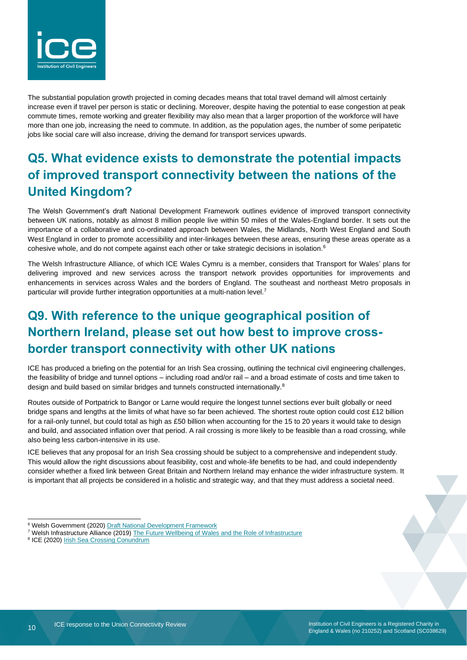

The substantial population growth projected in coming decades means that total travel demand will almost certainly increase even if travel per person is static or declining. Moreover, despite having the potential to ease congestion at peak commute times, remote working and greater flexibility may also mean that a larger proportion of the workforce will have more than one job, increasing the need to commute. In addition, as the population ages, the number of some peripatetic jobs like social care will also increase, driving the demand for transport services upwards.

# **Q5. What evidence exists to demonstrate the potential impacts of improved transport connectivity between the nations of the United Kingdom?**

The Welsh Government's draft National Development Framework outlines evidence of improved transport connectivity between UK nations, notably as almost 8 million people live within 50 miles of the Wales-England border. It sets out the importance of a collaborative and co-ordinated approach between Wales, the Midlands, North West England and South West England in order to promote accessibility and inter-linkages between these areas, ensuring these areas operate as a cohesive whole, and do not compete against each other or take strategic decisions in isolation.<sup>6</sup>

The Welsh Infrastructure Alliance, of which ICE Wales Cymru is a member, considers that Transport for Wales' plans for delivering improved and new services across the transport network provides opportunities for improvements and enhancements in services across Wales and the borders of England. The southeast and northeast Metro proposals in particular will provide further integration opportunities at a multi-nation level.<sup>7</sup>

# **Q9. With reference to the unique geographical position of Northern Ireland, please set out how best to improve crossborder transport connectivity with other UK nations**

ICE has produced a briefing on the potential for an Irish Sea crossing, outlining the technical civil engineering challenges, the feasibility of bridge and tunnel options – including road and/or rail – and a broad estimate of costs and time taken to design and build based on similar bridges and tunnels constructed internationally.<sup>8</sup>

Routes outside of Portpatrick to Bangor or Larne would require the longest tunnel sections ever built globally or need bridge spans and lengths at the limits of what have so far been achieved. The shortest route option could cost £12 billion for a rail-only tunnel, but could total as high as £50 billion when accounting for the 15 to 20 years it would take to design and build, and associated inflation over that period. A rail crossing is more likely to be feasible than a road crossing, while also being less carbon-intensive in its use.

ICE believes that any proposal for an Irish Sea crossing should be subject to a comprehensive and independent study. This would allow the right discussions about feasibility, cost and whole-life benefits to be had, and could independently consider whether a fixed link between Great Britain and Northern Ireland may enhance the wider infrastructure system. It is important that all projects be considered in a holistic and strategic way, and that they must address a societal need.

<sup>&</sup>lt;sup>6</sup> Welsh Government (2020[\) Draft National Development Framework](https://gov.wales/draft-national-development-framework)

<sup>&</sup>lt;sup>7</sup> Welsh Infrastructure Alliance (2019) [The Future Wellbeing of Wales and the Role of Infrastructure](https://www.ceca.co.uk/wp-content/uploads/2019/07/WIA-report-to-NICW-Final-Doc.pdf)

<sup>&</sup>lt;sup>8</sup> ICE (2020) **[Irish Sea Crossing Conundrum](https://www.ice.org.uk/getattachment/knowledge-and-resources/briefing-sheet/the-irish-sea-crossing-conundrum/irish_sea_crossings.pdf.aspx)**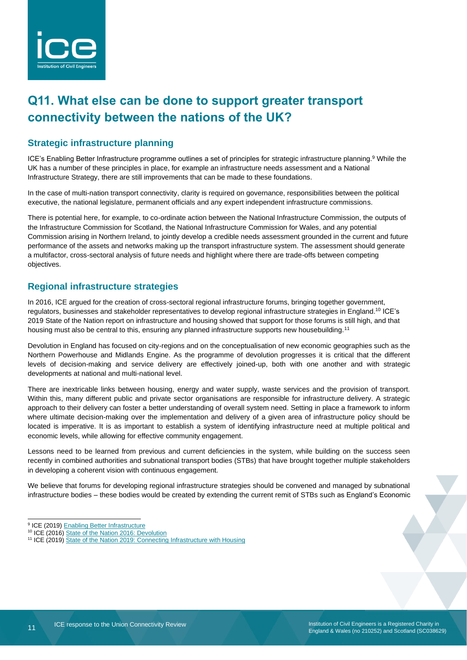

# **Q11. What else can be done to support greater transport connectivity between the nations of the UK?**

### **Strategic infrastructure planning**

ICE's Enabling Better Infrastructure programme outlines a set of principles for strategic infrastructure planning.<sup>9</sup> While the UK has a number of these principles in place, for example an infrastructure needs assessment and a National Infrastructure Strategy, there are still improvements that can be made to these foundations.

In the case of multi-nation transport connectivity, clarity is required on governance, responsibilities between the political executive, the national legislature, permanent officials and any expert independent infrastructure commissions.

There is potential here, for example, to co-ordinate action between the National Infrastructure Commission, the outputs of the Infrastructure Commission for Scotland, the National Infrastructure Commission for Wales, and any potential Commission arising in Northern Ireland, to jointly develop a credible needs assessment grounded in the current and future performance of the assets and networks making up the transport infrastructure system. The assessment should generate a multifactor, cross-sectoral analysis of future needs and highlight where there are trade-offs between competing objectives.

### **Regional infrastructure strategies**

In 2016, ICE argued for the creation of cross-sectoral regional infrastructure forums, bringing together government, regulators, businesses and stakeholder representatives to develop regional infrastructure strategies in England. <sup>10</sup> ICE's 2019 State of the Nation report on infrastructure and housing showed that support for those forums is still high, and that housing must also be central to this, ensuring any planned infrastructure supports new housebuilding.<sup>11</sup>

Devolution in England has focused on city-regions and on the conceptualisation of new economic geographies such as the Northern Powerhouse and Midlands Engine. As the programme of devolution progresses it is critical that the different levels of decision-making and service delivery are effectively joined-up, both with one another and with strategic developments at national and multi-national level.

There are inextricable links between housing, energy and water supply, waste services and the provision of transport. Within this, many different public and private sector organisations are responsible for infrastructure delivery. A strategic approach to their delivery can foster a better understanding of overall system need. Setting in place a framework to inform where ultimate decision-making over the implementation and delivery of a given area of infrastructure policy should be located is imperative. It is as important to establish a system of identifying infrastructure need at multiple political and economic levels, while allowing for effective community engagement.

Lessons need to be learned from previous and current deficiencies in the system, while building on the success seen recently in combined authorities and subnational transport bodies (STBs) that have brought together multiple stakeholders in developing a coherent vision with continuous engagement.

We believe that forums for developing regional infrastructure strategies should be convened and managed by subnational infrastructure bodies – these bodies would be created by extending the current remit of STBs such as England's Economic

<sup>&</sup>lt;sup>9</sup> ICE (2019[\) Enabling Better Infrastructure](https://www.ice.org.uk/ICEDevelopmentWebPortal/media/Documents/Media/ice-enabling-better-infrastructure-report.pdf)

<sup>&</sup>lt;sup>10</sup> ICE (2016) [State of the Nation 2016: Devolution](https://www.ice.org.uk/getattachment/news-and-insight/policy/state-of-the-nation-2016-devolution/state-of-the-nation-2016-devolution.pdf.aspx#_ga=2.242644161.217852908.1564734551-1714938937.1528710932)

<sup>&</sup>lt;sup>11</sup> ICE (2019) [State of the Nation 2019: Connecting Infrastructure with Housing](https://www.ice.org.uk/getattachment/news-and-insight/policy/state-of-the-nation-2019/ice-state-of-the-nation-2019.pdf.aspx#_ga=2.1468849.1022394631.1568276180-2027898735.1536748453)